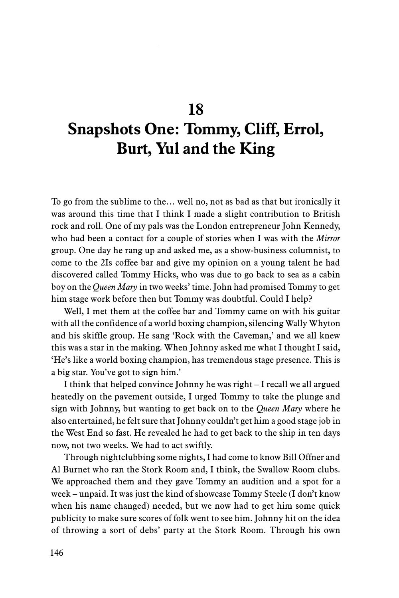## **Snapshots One: Tommy, Cliff, Errol, Burt, Yul and the King**

To go from the sublime to the… well no, not as bad as that but ironically it was around this time that I think I made a slight contribution to British rock and roll. One of my pals was the London entrepreneur John Kennedy, who had been a contact for a couple of stories when I was with the *Mirror* group. One day he rang up and asked me, as a show-business columnist, to come to the 2Is coffee bar and give my opinion on a young talent he had discovered called Tommy Hicks, who was due to go back to sea as a cabin boy on the *Queen Mary* in two weeks' time. John had promised Tommy to get him stage work before then but Tommy was doubtful. Could I help?

Well, I met them at the coffee bar and Tommy came on with his guitar with all the confidence of a world boxing champion, silencing Wally Whyton and his skiffle group. He sang 'Rock with the Caveman,' and we all knew this was a star in the making. When Johnny asked me what I thought I said, 'He's like a world boxing champion, has tremendous stage presence. This is a big star. You've got to sign him.'

I think that helped convince Johnny he was right – I recall we all argued heatedly on the pavement outside, I urged Tommy to take the plunge and sign with Johnny, but wanting to get back on to the *Queen Mary* where he also entertained, he felt sure that Johnny couldn't get him a good stage job in the West End so fast. He revealed he had to get back to the ship in ten days now, not two weeks. We had to act swiftly.

Through nightclubbing some nights, I had come to know Bill Offner and Al Burnet who ran the Stork Room and, I think, the Swallow Room clubs. We approached them and they gave Tommy an audition and a spot for a week – unpaid. It was just the kind of showcase Tommy Steele (I don't know when his name changed) needed, but we now had to get him some quick publicity to make sure scores of folk went to see him. Johnny hit on the idea of throwing a sort of debs' party at the Stork Room. Through his own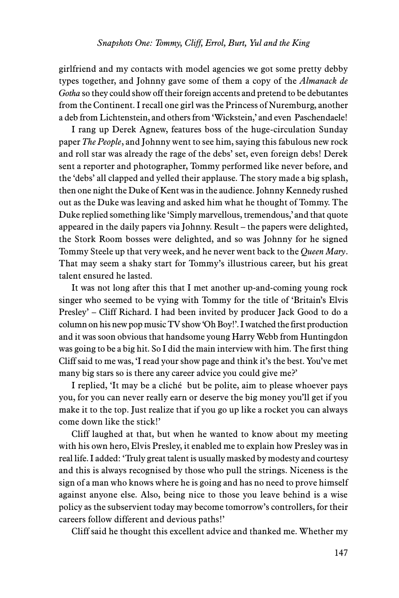girlfriend and my contacts with model agencies we got some pretty debby types together, and Johnny gave some of them a copy of the *Almanack de Gotha* so they could show off their foreign accents and pretend to be debutantes from the Continent. I recall one girl was the Princess of Nuremburg, another a deb from Lichtenstein, and others from 'Wickstein,' and even Paschendaele!

I rang up Derek Agnew, features boss of the huge-circulation Sunday paper *The People*, and Johnny went to see him, saying this fabulous new rock and roll star was already the rage of the debs' set, even foreign debs! Derek sent a reporter and photographer, Tommy performed like never before, and the 'debs' all clapped and yelled their applause. The story made a big splash, then one night the Duke of Kent was in the audience. Johnny Kennedy rushed out as the Duke was leaving and asked him what he thought of Tommy. The Duke replied something like 'Simply marvellous, tremendous,' and that quote appeared in the daily papers via Johnny. Result – the papers were delighted, the Stork Room bosses were delighted, and so was Johnny for he signed Tommy Steele up that very week, and he never went back to the *Queen Mary*. That may seem a shaky start for Tommy's illustrious career, but his great talent ensured he lasted.

It was not long after this that I met another up-and-coming young rock singer who seemed to be vying with Tommy for the title of 'Britain's Elvis Presley' – Cliff Richard. I had been invited by producer Jack Good to do a column on his new pop music TV show 'Oh Boy!'. I watched the first production and it was soon obvious that handsome young Harry Webb from Huntingdon was going to be a big hit. So I did the main interview with him. The first thing Cliff said to me was, 'I read your show page and think it's the best. You've met many big stars so is there any career advice you could give me?'

I replied, 'It may be a cliché but be polite, aim to please whoever pays you, for you can never really earn or deserve the big money you'll get if you make it to the top. Just realize that if you go up like a rocket you can always come down like the stick!'

Cliff laughed at that, but when he wanted to know about my meeting with his own hero, Elvis Presley, it enabled me to explain how Presley was in real life. I added: 'Truly great talent is usually masked by modesty and courtesy and this is always recognised by those who pull the strings. Niceness is the sign of a man who knows where he is going and has no need to prove himself against anyone else. Also, being nice to those you leave behind is a wise policy as the subservient today may become tomorrow's controllers, for their careers follow different and devious paths!'

Cliff said he thought this excellent advice and thanked me. Whether my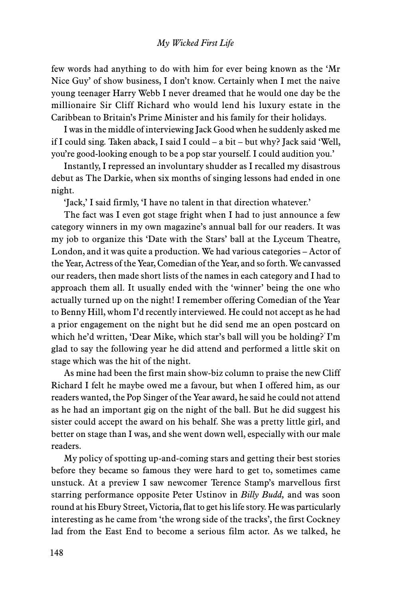## *My Wicked First Life*

few words had anything to do with him for ever being known as the 'Mr Nice Guy' of show business, I don't know. Certainly when I met the naive young teenager Harry Webb I never dreamed that he would one day be the millionaire Sir Cliff Richard who would lend his luxury estate in the Caribbean to Britain's Prime Minister and his family for their holidays.

I was in the middle of interviewing Jack Good when he suddenly asked me if I could sing. Taken aback, I said I could – a bit – but why? Jack said 'Well, you're good-looking enough to be a pop star yourself. I could audition you.'

Instantly, I repressed an involuntary shudder as I recalled my disastrous debut as The Darkie, when six months of singing lessons had ended in one night.

'Jack,' I said firmly, 'I have no talent in that direction whatever.'

The fact was I even got stage fright when I had to just announce a few category winners in my own magazine's annual ball for our readers. It was my job to organize this 'Date with the Stars' ball at the Lyceum Theatre, London, and it was quite a production. We had various categories – Actor of the Year, Actress of the Year, Comedian of the Year, and so forth. We canvassed our readers, then made short lists of the names in each category and I had to approach them all. It usually ended with the 'winner' being the one who actually turned up on the night! I remember offering Comedian of the Year to Benny Hill, whom I'd recently interviewed. He could not accept as he had a prior engagement on the night but he did send me an open postcard on which he'd written, 'Dear Mike, which star's ball will you be holding?' I'm glad to say the following year he did attend and performed a little skit on stage which was the hit of the night.

As mine had been the first main show-biz column to praise the new Cliff Richard I felt he maybe owed me a favour, but when I offered him, as our readers wanted, the Pop Singer of the Year award, he said he could not attend as he had an important gig on the night of the ball. But he did suggest his sister could accept the award on his behalf. She was a pretty little girl, and better on stage than I was, and she went down well, especially with our male readers.

My policy of spotting up-and-coming stars and getting their best stories before they became so famous they were hard to get to, sometimes came unstuck. At a preview I saw newcomer Terence Stamp's marvellous first starring performance opposite Peter Ustinov in *Billy Budd,* and was soon round at his Ebury Street, Victoria, flat to get his life story. He was particularly interesting as he came from 'the wrong side of the tracks', the first Cockney lad from the East End to become a serious film actor. As we talked, he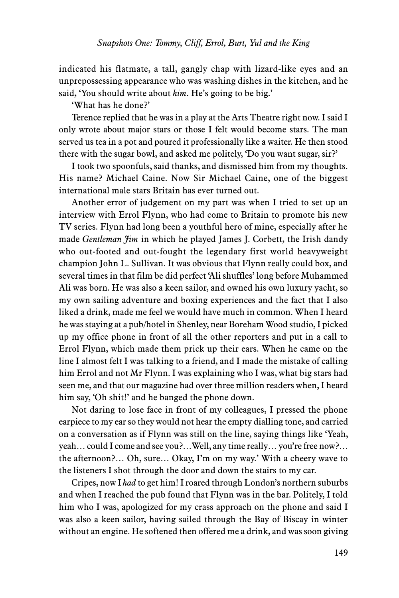indicated his flatmate, a tall, gangly chap with lizard-like eyes and an unprepossessing appearance who was washing dishes in the kitchen, and he said, 'You should write about *him*. He's going to be big.'

'What has he done?'

Terence replied that he was in a play at the Arts Theatre right now. I said I only wrote about major stars or those I felt would become stars. The man served us tea in a pot and poured it professionally like a waiter. He then stood there with the sugar bowl, and asked me politely, 'Do you want sugar, sir?'

I took two spoonfuls, said thanks, and dismissed him from my thoughts. His name? Michael Caine. Now Sir Michael Caine, one of the biggest international male stars Britain has ever turned out.

Another error of judgement on my part was when I tried to set up an interview with Errol Flynn, who had come to Britain to promote his new TV series. Flynn had long been a youthful hero of mine, especially after he made *Gentleman Jim* in which he played James J. Corbett, the Irish dandy who out-footed and out-fought the legendary first world heavyweight champion John L. Sullivan. It was obvious that Flynn really could box, and several times in that film be did perfect 'Ali shuffles' long before Muhammed Ali was born. He was also a keen sailor, and owned his own luxury yacht, so my own sailing adventure and boxing experiences and the fact that I also liked a drink, made me feel we would have much in common. When I heard he was staying at a pub/hotel in Shenley, near Boreham Wood studio, I picked up my office phone in front of all the other reporters and put in a call to Errol Flynn, which made them prick up their ears. When he came on the line I almost felt I was talking to a friend, and I made the mistake of calling him Errol and not Mr Flynn. I was explaining who I was, what big stars had seen me, and that our magazine had over three million readers when, I heard him say, 'Oh shit!' and he banged the phone down.

Not daring to lose face in front of my colleagues, I pressed the phone earpiece to my ear so they would not hear the empty dialling tone, and carried on a conversation as if Flynn was still on the line, saying things like 'Yeah, yeah… could I come and see you?…Well, any time really… you're free now?… the afternoon?… Oh, sure… Okay, I'm on my way.' With a cheery wave to the listeners I shot through the door and down the stairs to my car.

Cripes, now I *had* to get him! I roared through London's northern suburbs and when I reached the pub found that Flynn was in the bar. Politely, I told him who I was, apologized for my crass approach on the phone and said I was also a keen sailor, having sailed through the Bay of Biscay in winter without an engine. He softened then offered me a drink, and was soon giving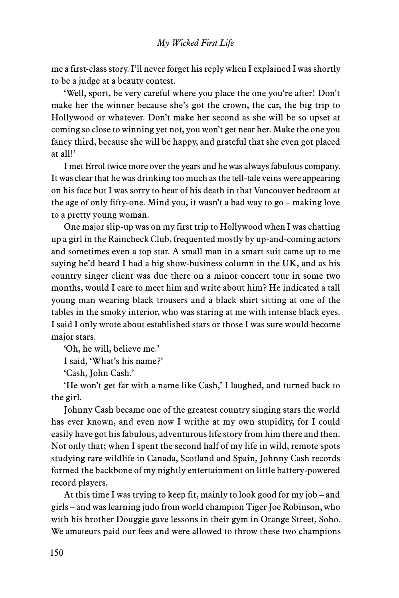me a first-class story. I'll never forget his reply when I explained I was shortly to be a judge at a beauty contest.

'Well, sport, be very careful where you place the one you're after! Don't make her the winner because she's got the crown, the car, the big trip to Hollywood or whatever. Don't make her second as she will be so upset at coming so close to winning yet not, you won't get near her. Make the one you fancy third, because she will be happy, and grateful that she even got placed at all!'

I met Errol twice more over the years and he was always fabulous company. It was clear that he was drinking too much as the tell-tale veins were appearing on his face but I was sorry to hear of his death in that Vancouver bedroom at the age of only fifty-one. Mind you, it wasn't a bad way to go – making love to a pretty young woman.

One major slip-up was on my first trip to Hollywood when I was chatting up a girl in the Raincheck Club, frequented mostly by up-and-coming actors and sometimes even a top star. A small man in a smart suit came up to me saying he'd heard I had a big show-business column in the UK, and as his country singer client was due there on a minor concert tour in some two months, would I care to meet him and write about him? He indicated a tall young man wearing black trousers and a black shirt sitting at one of the tables in the smoky interior, who was staring at me with intense black eyes. I said I only wrote about established stars or those I was sure would become major stars.

'Oh, he will, believe me.'

I said, 'What's his name?'

'Cash, John Cash.'

'He won't get far with a name like Cash,' I laughed, and turned back to the girl.

Johnny Cash became one of the greatest country singing stars the world has ever known, and even now I writhe at my own stupidity, for I could easily have got his fabulous, adventurous life story from him there and then. Not only that; when I spent the second half of my life in wild, remote spots studying rare wildlife in Canada, Scotland and Spain, Johnny Cash records formed the backbone of my nightly entertainment on little battery-powered record players.

At this time I was trying to keep fit, mainly to look good for my job – and girls – and was learning judo from world champion Tiger Joe Robinson, who with his brother Douggie gave lessons in their gym in Orange Street, Soho. We amateurs paid our fees and were allowed to throw these two champions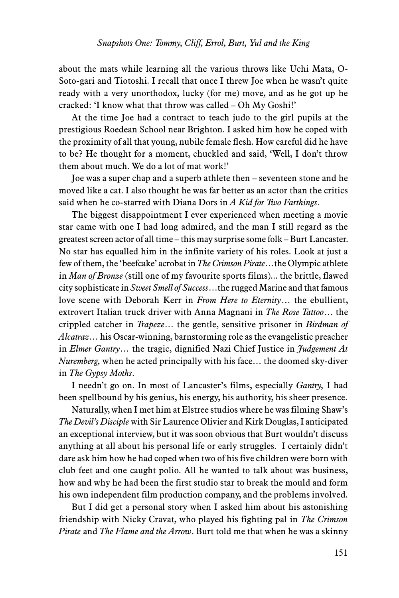about the mats while learning all the various throws like Uchi Mata, O-Soto-gari and Tiotoshi. I recall that once I threw Joe when he wasn't quite ready with a very unorthodox, lucky (for me) move, and as he got up he cracked: 'I know what that throw was called – Oh My Goshi!'

At the time Joe had a contract to teach judo to the girl pupils at the prestigious Roedean School near Brighton. I asked him how he coped with the proximity of all that young, nubile female flesh. How careful did he have to be? He thought for a moment, chuckled and said, 'Well, I don't throw them about much. We do a lot of mat work!'

Joe was a super chap and a superb athlete then – seventeen stone and he moved like a cat. I also thought he was far better as an actor than the critics said when he co-starred with Diana Dors in *A Kid for Two Farthings*.

The biggest disappointment I ever experienced when meeting a movie star came with one I had long admired, and the man I still regard as the greatest screen actor of all time – this may surprise some folk – Burt Lancaster. No star has equalled him in the infinite variety of his roles. Look at just a few of them, the 'beefcake' acrobat in *The Crimson Pirate*…the Olympic athlete in *Man of Bronze* (still one of my favourite sports films)... the brittle, flawed city sophisticate in *Sweet Smell of Success*…the rugged Marine and that famous love scene with Deborah Kerr in *From Here to Eternity*… the ebullient, extrovert Italian truck driver with Anna Magnani in *The Rose Tattoo*… the crippled catcher in *Trapeze*… the gentle, sensitive prisoner in *Birdman of Alcatraz*… his Oscar-winning, barnstorming role as the evangelistic preacher in *Elmer Gantry*… the tragic, dignified Nazi Chief Justice in *Judgement At Nuremberg,* when he acted principally with his face… the doomed sky-diver in *The Gypsy Moths*.

I needn't go on. In most of Lancaster's films, especially *Gantry,* I had been spellbound by his genius, his energy, his authority, his sheer presence.

Naturally, when I met him at Elstree studios where he was filming Shaw's *The Devil's Disciple* with Sir Laurence Olivier and Kirk Douglas, I anticipated an exceptional interview, but it was soon obvious that Burt wouldn't discuss anything at all about his personal life or early struggles. I certainly didn't dare ask him how he had coped when two of his five children were born with club feet and one caught polio. All he wanted to talk about was business, how and why he had been the first studio star to break the mould and form his own independent film production company, and the problems involved.

But I did get a personal story when I asked him about his astonishing friendship with Nicky Cravat, who played his fighting pal in *The Crimson Pirate* and *The Flame and the Arrow*. Burt told me that when he was a skinny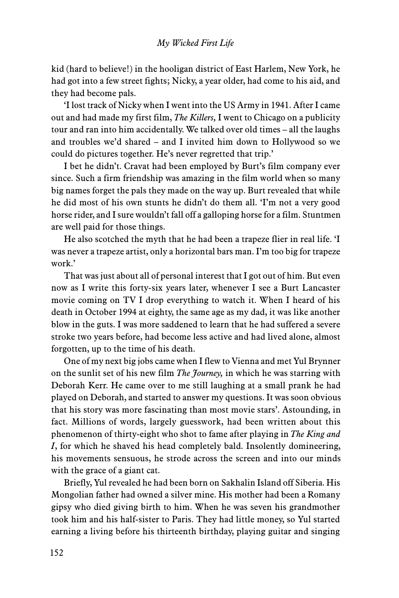kid (hard to believe!) in the hooligan district of East Harlem, New York, he had got into a few street fights; Nicky, a year older, had come to his aid, and they had become pals.

'I lost track of Nicky when I went into the US Army in 1941. After I came out and had made my first film, *The Killers,* I went to Chicago on a publicity tour and ran into him accidentally. We talked over old times – all the laughs and troubles we'd shared – and I invited him down to Hollywood so we could do pictures together. He's never regretted that trip.'

I bet he didn't. Cravat had been employed by Burt's film company ever since. Such a firm friendship was amazing in the film world when so many big names forget the pals they made on the way up. Burt revealed that while he did most of his own stunts he didn't do them all. 'I'm not a very good horse rider, and I sure wouldn't fall off a galloping horse for a film. Stuntmen are well paid for those things.

He also scotched the myth that he had been a trapeze flier in real life. 'I was never a trapeze artist, only a horizontal bars man. I'm too big for trapeze work.'

That was just about all of personal interest that I got out of him. But even now as I write this forty-six years later, whenever I see a Burt Lancaster movie coming on TV I drop everything to watch it. When I heard of his death in October 1994 at eighty, the same age as my dad, it was like another blow in the guts. I was more saddened to learn that he had suffered a severe stroke two years before, had become less active and had lived alone, almost forgotten, up to the time of his death.

One of my next big jobs came when I flew to Vienna and met Yul Brynner on the sunlit set of his new film *The Journey,* in which he was starring with Deborah Kerr. He came over to me still laughing at a small prank he had played on Deborah, and started to answer my questions. It was soon obvious that his story was more fascinating than most movie stars'. Astounding, in fact. Millions of words, largely guesswork, had been written about this phenomenon of thirty-eight who shot to fame after playing in *The King and I*, for which he shaved his head completely bald. Insolently domineering, his movements sensuous, he strode across the screen and into our minds with the grace of a giant cat.

Briefly, Yul revealed he had been born on Sakhalin Island off Siberia. His Mongolian father had owned a silver mine. His mother had been a Romany gipsy who died giving birth to him. When he was seven his grandmother took him and his half-sister to Paris. They had little money, so Yul started earning a living before his thirteenth birthday, playing guitar and singing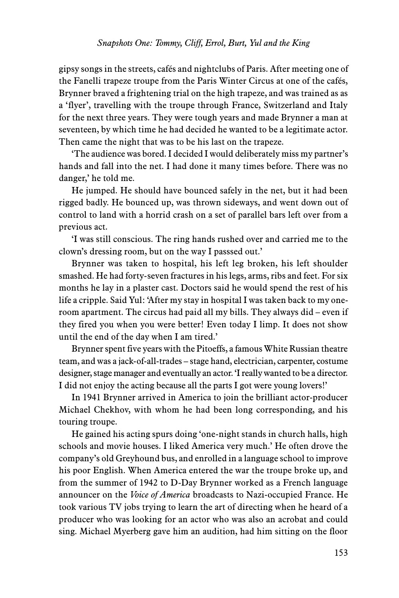gipsy songs in the streets, cafés and nightclubs of Paris. After meeting one of the Fanelli trapeze troupe from the Paris Winter Circus at one of the cafés, Brynner braved a frightening trial on the high trapeze, and was trained as as a 'flyer', travelling with the troupe through France, Switzerland and Italy for the next three years. They were tough years and made Brynner a man at seventeen, by which time he had decided he wanted to be a legitimate actor. Then came the night that was to be his last on the trapeze.

'The audience was bored. I decided I would deliberately miss my partner's hands and fall into the net. I had done it many times before. There was no danger,' he told me.

He jumped. He should have bounced safely in the net, but it had been rigged badly. He bounced up, was thrown sideways, and went down out of control to land with a horrid crash on a set of parallel bars left over from a previous act.

'I was still conscious. The ring hands rushed over and carried me to the clown's dressing room, but on the way I passsed out.'

Brynner was taken to hospital, his left leg broken, his left shoulder smashed. He had forty-seven fractures in his legs, arms, ribs and feet. For six months he lay in a plaster cast. Doctors said he would spend the rest of his life a cripple. Said Yul: 'After my stay in hospital I was taken back to my oneroom apartment. The circus had paid all my bills. They always did – even if they fired you when you were better! Even today I limp. It does not show until the end of the day when I am tired.'

Brynner spent five years with the Pitoeffs, a famous White Russian theatre team, and was a jack-of-all-trades – stage hand, electrician, carpenter, costume designer, stage manager and eventually an actor. 'I really wanted to be a director. I did not enjoy the acting because all the parts I got were young lovers!'

In 1941 Brynner arrived in America to join the brilliant actor-producer Michael Chekhov, with whom he had been long corresponding, and his touring troupe.

He gained his acting spurs doing 'one-night stands in church halls, high schools and movie houses. I liked America very much.' He often drove the company's old Greyhound bus, and enrolled in a language school to improve his poor English. When America entered the war the troupe broke up, and from the summer of 1942 to D-Day Brynner worked as a French language announcer on the *Voice of America* broadcasts to Nazi-occupied France. He took various TV jobs trying to learn the art of directing when he heard of a producer who was looking for an actor who was also an acrobat and could sing. Michael Myerberg gave him an audition, had him sitting on the floor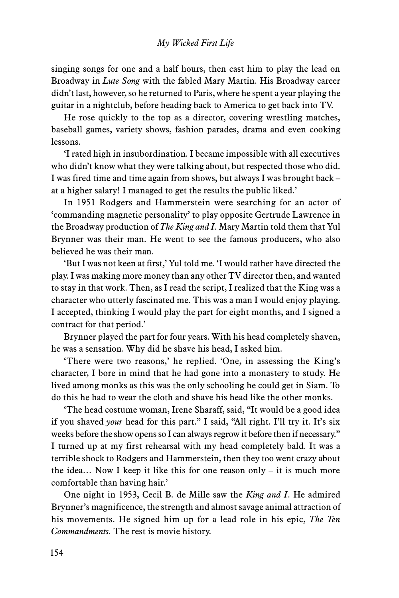singing songs for one and a half hours, then cast him to play the lead on Broadway in *Lute Song* with the fabled Mary Martin. His Broadway career didn't last, however, so he returned to Paris, where he spent a year playing the guitar in a nightclub, before heading back to America to get back into TV.

He rose quickly to the top as a director, covering wrestling matches, baseball games, variety shows, fashion parades, drama and even cooking lessons.

'I rated high in insubordination. I became impossible with all executives who didn't know what they were talking about, but respected those who did. I was fired time and time again from shows, but always I was brought back – at a higher salary! I managed to get the results the public liked.'

In 1951 Rodgers and Hammerstein were searching for an actor of 'commanding magnetic personality' to play opposite Gertrude Lawrence in the Broadway production of *The King and I.* Mary Martin told them that Yul Brynner was their man. He went to see the famous producers, who also believed he was their man.

'But I was not keen at first,' Yul told me. 'I would rather have directed the play. I was making more money than any other TV director then, and wanted to stay in that work. Then, as I read the script, I realized that the King was a character who utterly fascinated me. This was a man I would enjoy playing. I accepted, thinking I would play the part for eight months, and I signed a contract for that period.'

Brynner played the part for four years. With his head completely shaven, he was a sensation. Why did he shave his head, I asked him.

'There were two reasons,' he replied. 'One, in assessing the King's character, I bore in mind that he had gone into a monastery to study. He lived among monks as this was the only schooling he could get in Siam. To do this he had to wear the cloth and shave his head like the other monks.

'The head costume woman, Irene Sharaff, said, "It would be a good idea if you shaved *your* head for this part." I said, "All right. I'll try it. It's six weeks before the show opens so I can always regrow it before then if necessary." I turned up at my first rehearsal with my head completely bald. It was a terrible shock to Rodgers and Hammerstein, then they too went crazy about the idea… Now I keep it like this for one reason only – it is much more comfortable than having hair.'

One night in 1953, Cecil B. de Mille saw the *King and I*. He admired Brynner's magnificence, the strength and almost savage animal attraction of his movements. He signed him up for a lead role in his epic, *The Ten Commandments.* The rest is movie history.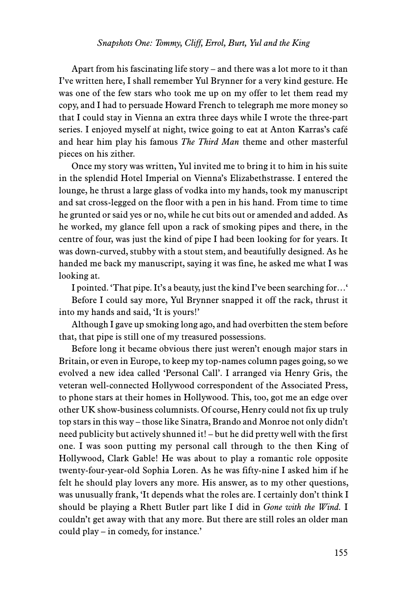Apart from his fascinating life story – and there was a lot more to it than I've written here, I shall remember Yul Brynner for a very kind gesture. He was one of the few stars who took me up on my offer to let them read my copy, and I had to persuade Howard French to telegraph me more money so that I could stay in Vienna an extra three days while I wrote the three-part series. I enjoyed myself at night, twice going to eat at Anton Karras's café and hear him play his famous *The Third Man* theme and other masterful pieces on his zither.

Once my story was written, Yul invited me to bring it to him in his suite in the splendid Hotel Imperial on Vienna's Elizabethstrasse. I entered the lounge, he thrust a large glass of vodka into my hands, took my manuscript and sat cross-legged on the floor with a pen in his hand. From time to time he grunted or said yes or no, while he cut bits out or amended and added. As he worked, my glance fell upon a rack of smoking pipes and there, in the centre of four, was just the kind of pipe I had been looking for for years. It was down-curved, stubby with a stout stem, and beautifully designed. As he handed me back my manuscript, saying it was fine, he asked me what I was looking at.

I pointed. 'That pipe. It's a beauty, just the kind I've been searching for…'

Before I could say more, Yul Brynner snapped it off the rack, thrust it into my hands and said, 'It is yours!'

Although I gave up smoking long ago, and had overbitten the stem before that, that pipe is still one of my treasured possessions.

Before long it became obvious there just weren't enough major stars in Britain, or even in Europe, to keep my top-names column pages going, so we evolved a new idea called 'Personal Call'. I arranged via Henry Gris, the veteran well-connected Hollywood correspondent of the Associated Press, to phone stars at their homes in Hollywood. This, too, got me an edge over other UK show-business columnists. Of course, Henry could not fix up truly top stars in this way – those like Sinatra, Brando and Monroe not only didn't need publicity but actively shunned it! – but he did pretty well with the first one. I was soon putting my personal call through to the then King of Hollywood, Clark Gable! He was about to play a romantic role opposite twenty-four-year-old Sophia Loren. As he was fifty-nine I asked him if he felt he should play lovers any more. His answer, as to my other questions, was unusually frank, 'It depends what the roles are. I certainly don't think I should be playing a Rhett Butler part like I did in *Gone with the Wind.* I couldn't get away with that any more. But there are still roles an older man could play – in comedy, for instance.'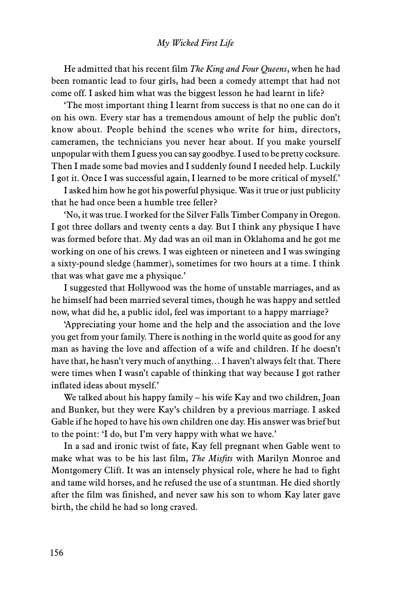## *My Wicked First Life*

He admitted that his recent film *The King and Four Queens*, when he had been romantic lead to four girls, had been a comedy attempt that had not come off. I asked him what was the biggest lesson he had learnt in life?

'The most important thing I learnt from success is that no one can do it on his own. Every star has a tremendous amount of help the public don't know about. People behind the scenes who write for him, directors, cameramen, the technicians you never hear about. If you make yourself unpopular with them I guess you can say goodbye. I used to be pretty cocksure. Then I made some bad movies and I suddenly found I needed help. Luckily I got it. Once I was successful again, I learned to be more critical of myself.'

I asked him how he got his powerful physique. Was it true or just publicity that he had once been a humble tree feller?

'No, it was true. I worked for the Silver Falls Timber Company in Oregon. I got three dollars and twenty cents a day. But I think any physique I have was formed before that. My dad was an oil man in Oklahoma and he got me working on one of his crews. I was eighteen or nineteen and I was swinging a sixty-pound sledge (hammer), sometimes for two hours at a time. I think that was what gave me a physique.'

I suggested that Hollywood was the home of unstable marriages, and as he himself had been married several times, though he was happy and settled now, what did he, a public idol, feel was important to a happy marriage?

'Appreciating your home and the help and the association and the love you get from your family. There is nothing in the world quite as good for any man as having the love and affection of a wife and children. If he doesn't have that, he hasn't very much of anything… I haven't always felt that. There were times when I wasn't capable of thinking that way because I got rather inflated ideas about myself.'

We talked about his happy family – his wife Kay and two children, Joan and Bunker, but they were Kay's children by a previous marriage. I asked Gable if he hoped to have his own children one day. His answer was brief but to the point: 'I do, but I'm very happy with what we have.'

In a sad and ironic twist of fate, Kay fell pregnant when Gable went to make what was to be his last film, *The Misfits* with Marilyn Monroe and Montgomery Clift. It was an intensely physical role, where he had to fight and tame wild horses, and he refused the use of a stuntman. He died shortly after the film was finished, and never saw his son to whom Kay later gave birth, the child he had so long craved.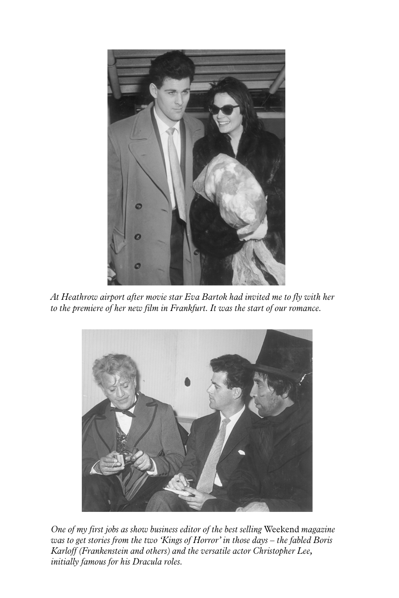

*At Heathrow airport after movie star Eva Bartok had invited me to fly with her to the premiere of her new film in Frankfurt. It was the start of our romance.*



*One of my first jobs as show business editor of the best selling* Weekend *magazine was to get stories from the two 'Kings of Horror' in those days – the fabled Boris Karloff (Frankenstein and others) and the versatile actor Christopher Lee, initially famous for his Dracula roles.*